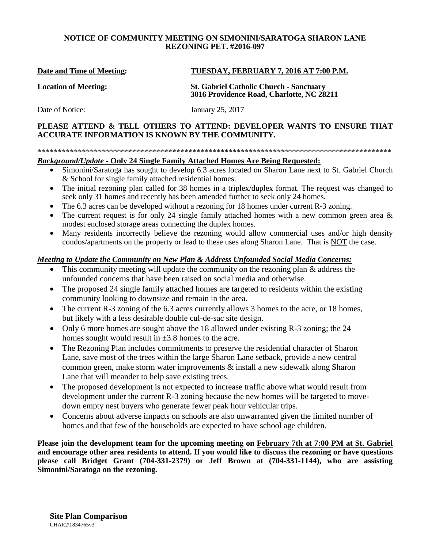# **NOTICE OF COMMUNITY MEETING ON SIMONINI/SARATOGA SHARON LANE REZONING PET. #2016-097**

### **Date and Time of Meeting: TUESDAY, FEBRUARY 7, 2016 AT 7:00 P.M.**

**Location of Meeting: St. Gabriel Catholic Church - Sanctuary 3016 Providence Road, Charlotte, NC 28211**

Date of Notice: January 25, 2017

# **PLEASE ATTEND & TELL OTHERS TO ATTEND: DEVELOPER WANTS TO ENSURE THAT ACCURATE INFORMATION IS KNOWN BY THE COMMUNITY.**

#### \*\*\*\*\*\*\*\*\*\*\*\*\*\*\*\*\*\*\*\*\*\*\*\*\*\*\*\*\*\*\*\*\*\*\*\*\*\*\*\*\*\*\*\*\*\*\*\*\*\*\*\*\*\*\*\*\*\*\*\*\*\*\*\*\*\*\*\*\*\*\*\*\*\*\*\*\*\*\*\*\*\*\*\*\*\*\*\*\*

# *Background/Update -* **Only 24 Single Family Attached Homes Are Being Requested:**

- Simonini/Saratoga has sought to develop 6.3 acres located on Sharon Lane next to St. Gabriel Church & School for single family attached residential homes.
- The initial rezoning plan called for 38 homes in a triplex/duplex format. The request was changed to seek only 31 homes and recently has been amended further to seek only 24 homes.
- The 6.3 acres can be developed without a rezoning for 18 homes under current R-3 zoning.
- The current request is for only 24 single family attached homes with a new common green area  $\&$ modest enclosed storage areas connecting the duplex homes.
- Many residents incorrectly believe the rezoning would allow commercial uses and/or high density condos/apartments on the property or lead to these uses along Sharon Lane. That is NOT the case.

# *Meeting to Update the Community on New Plan & Address Unfounded Social Media Concerns:*

- This community meeting will update the community on the rezoning plan  $\&$  address the unfounded concerns that have been raised on social media and otherwise.
- The proposed 24 single family attached homes are targeted to residents within the existing community looking to downsize and remain in the area.
- The current R-3 zoning of the 6.3 acres currently allows 3 homes to the acre, or 18 homes, but likely with a less desirable double cul-de-sac site design.
- Only 6 more homes are sought above the 18 allowed under existing R-3 zoning; the 24 homes sought would result in  $\pm 3.8$  homes to the acre.
- The Rezoning Plan includes commitments to preserve the residential character of Sharon Lane, save most of the trees within the large Sharon Lane setback, provide a new central common green, make storm water improvements & install a new sidewalk along Sharon Lane that will meander to help save existing trees.
- The proposed development is not expected to increase traffic above what would result from development under the current R-3 zoning because the new homes will be targeted to movedown empty nest buyers who generate fewer peak hour vehicular trips.
- Concerns about adverse impacts on schools are also unwarranted given the limited number of homes and that few of the households are expected to have school age children.

**Please join the development team for the upcoming meeting on February 7th at 7:00 PM at St. Gabriel and encourage other area residents to attend. If you would like to discuss the rezoning or have questions please call Bridget Grant (704-331-2379) or Jeff Brown at (704-331-1144), who are assisting Simonini/Saratoga on the rezoning.**